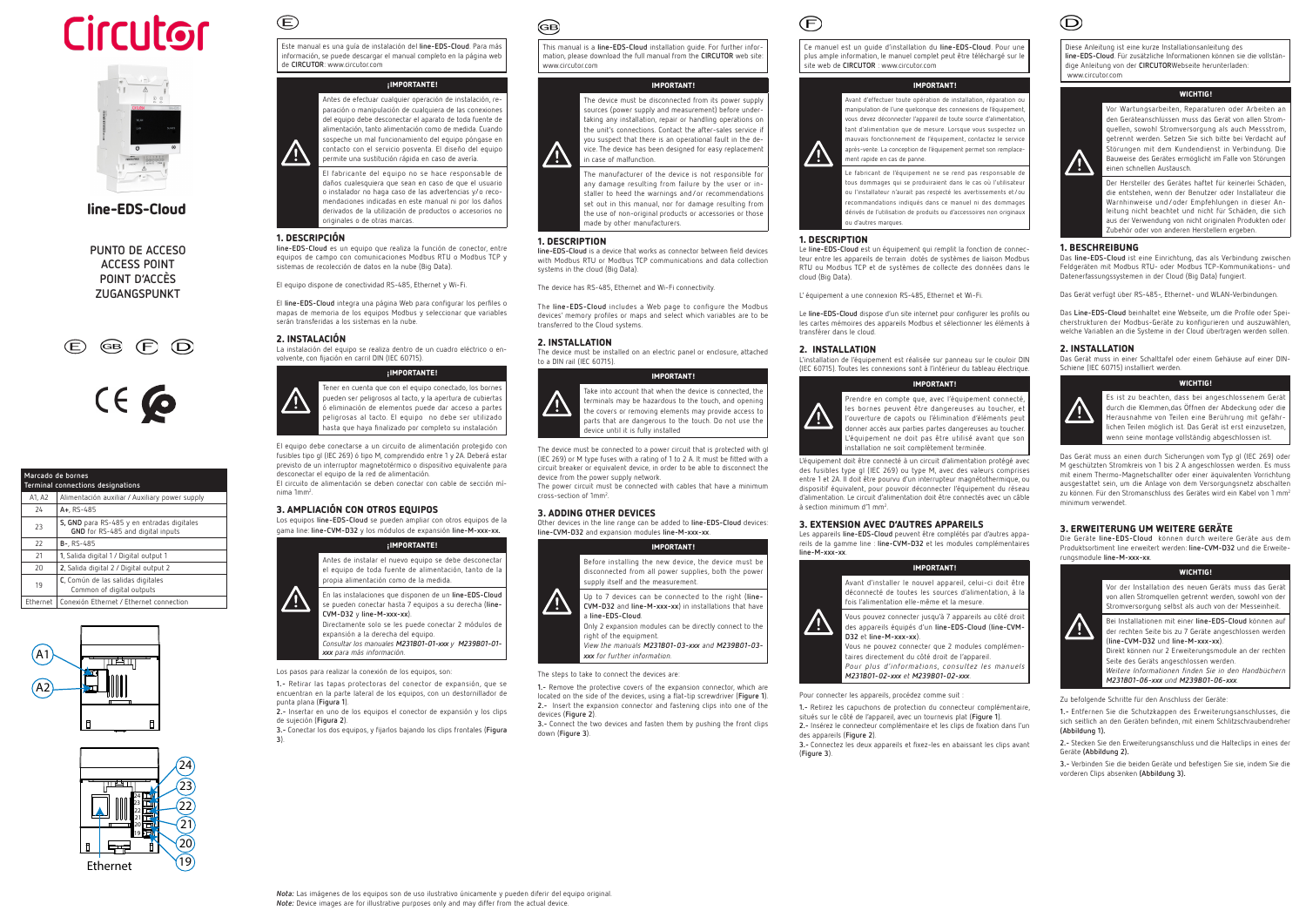



line-EDS-Cloud

**PUNTO DE ACCESO ACCESS POINT POINT D'ACCÈS ZUGANGSPUNKT**





Este manual es una guía de instalación del **line-EDS-Cloud**. Para más información, se puede descargar el manual completo en la página web de **CIRCUTOR**: www.circutor.com

#### ¡IMPORTANTE!



**line-EDS-Cloud** es un equipo que realiza la función de conector, entre equipos de campo con comunicaciones Modbus RTU o Modbus TCP y sistemas de recolección de datos en la nube (Big Data).

El fabricante del equipo no se hace responsable de daños cualesquiera que sean en caso de que el usuario o instalador no haga caso de las advertencias y/o recomendaciones indicadas en este manual ni por los daños derivados de la utilización de productos o accesorios no originales o de otras marcas.

#### 1. DESCRIPCIÓN

 $\mathbf{E}$ 

El circuito de alimentación se deben conectar con cable de sección mínima 1mm<sup>2</sup>.

El equipo dispone de conectividad RS-485, Ethernet y Wi-Fi.

El **line-EDS-Cloud** integra una página Web para configurar los perfiles o mapas de memoria de los equipos Modbus y seleccionar que variables serán transferidas a los sistemas en la nube.

#### 2. INSTALACIÓN

La instalación del equipo se realiza dentro de un cuadro eléctrico o envolvente, con fijación en carril DIN (IEC 60715).

#### ¡IMPORTANTE!



El equipo debe conectarse a un circuito de alimentación protegido con fusibles tipo gl (IEC 269) ó tipo M, comprendido entre 1 y 2A. Deberá estar previsto de un interruptor magnetotérmico o dispositivo equivalente para desconectar el equipo de la red de alimentación.

# 3. AMPLIACIÓN CON OTROS EQUIPOS

Los equipos **line-EDS-Cloud** se pueden ampliar con otros equipos de la gama line: **line-CVM-D32** y los módulos de expansión **line-M-xxx-xx.**







Directamente solo se les puede conectar 2 módulos de expansión a la derecha del equipo.

*Consultar los manuales M231B01-01-xxx y M239B01-01 xxx para más información.*

Los pasos para realizar la conexión de los equipos, son:

**1.-** Retirar las tapas protectoras del conector de expansión, que se encuentran en la parte lateral de los equipos, con un destornillador de punta plana (**Figura 1**).

**2.-** Insertar en uno de los equipos el conector de expansión y los clips de sujeción (**Figura 2**).

**3.-** Conectar los dos equipos, y fijarlos bajando los clips frontales (**Figura 3**).

# බෙ

This manual is a **line-EDS-Cloud** installation guide. For further information, please download the full manual from the **CIRCUTOR** web site: www.circutor.com

#### IMPORTANT!

The device must be disconnected from its power supply sources (power supply and measurement) before undertaking any installation, repair or handling operations on the unit's connections. Contact the after-sales service if you suspect that there is an operational fault in the device. The device has been designed for easy replacement in case of malfunction.

The manufacturer of the device is not responsible for any damage resulting from failure by the user or installer to heed the warnings and/or recommendations set out in this manual, nor for damage resulting from the use of non-original products or accessories or those made by other manufacturers.

> L'équipement doit être connecté à un circuit d'alimentation protégé avec des fusibles type gl (IEC 269) ou type M, avec des valeurs comprises entre 1 et 2A. Il doit être pourvu d'un interrupteur magnétothermique, ou dispositif équivalent, pour pouvoir déconnecter l'équipement du réseau d'alimentation. Le circuit d'alimentation doit être connectés avec un câble à section minimum d'1 mm<sup>2</sup>.

#### 1. DESCRIPTION

**line-EDS-Cloud** is a device that works as connector between field devices with Modbus RTU or Modbus TCP communications and data collection systems in the cloud (Big Data).

The device has RS-485, Ethernet and Wi-Fi connectivity.

The **line-EDS-Cloud** includes a Web page to configure the Modbus devices' memory profiles or maps and select which variables are to be transferred to the Cloud systems.

#### 2. INSTALLATION

The device must be installed on an electric panel or enclosure, attached to a DIN rail (IEC 60715).

#### IMPORTANT!



Take into account that when the device is connected, the terminals may be hazardous to the touch, and opening the covers or removing elements may provide access to parts that are dangerous to the touch. Do not use the device until it is fully installed

The device must be connected to a power circuit that is protected with gl (IEC 269) or M type fuses with a rating of 1 to 2 A. It must be fitted with a circuit breaker or equivalent device, in order to be able to disconnect the device from the power supply network.

The power circuit must be connected with cables that have a minimum cross-section of 1mm2 .

#### 3. ADDING OTHER DEVICES

Other devices in the line range can be added to **line-EDS-Cloud** devices: **line-CVM-D32** and expansion modules **line-M-xxx-xx**.



The steps to take to connect the devices are:

**1.-** Remove the protective covers of the expansion connector, which are located on the side of the devices, using a flat-tip screwdriver (**Figure 1**). **2.-** Insert the expansion connector and fastening clips into one of the devices (**Figure 2**).

**3.-** Connect the two devices and fasten them by pushing the front clips down (**Figure 3**).

# $\widehat{(\mathsf{F})}$

Ce manuel est un guide d'installation du **line-EDS-Cloud**. Pour une plus ample information, le manuel complet peut être téléchargé sur le site web de **CIRCUTOR** : www.circutor.com

#### IMPORTANT!



Avant d'effectuer toute opération de installation, réparation ou manipulation de l'une quelconque des connexions de l'équipement vous devez déconnecter l'appareil de toute source d'alimentation, tant d'alimentation que de mesure. Lorsque vous suspectez un mauvais fonctionnement de l'équipement, contactez le service après-vente. La conception de l'équipement permet son remplacement rapide en cas de panne.

Le fabricant de l'équipement ne se rend pas responsable de tous dommages qui se produiraient dans le cas où l'utilisateur ou l'installateur n'aurait pas respecté les avertissements et/ou recommandations indiqués dans ce manuel ni des dommages dérivés de l'utilisation de produits ou d'accessoires non originaux ou d'autres marques.

#### 1. DESCRIPTION

Le **line-EDS-Cloud** est un équipement qui remplit la fonction de connecteur entre les appareils de terrain dotés de systèmes de liaison Modbus RTU ou Modbus TCP et de systèmes de collecte des données dans le cloud (Big Data).

L' équipement a une connexion RS-485, Ethernet et Wi-Fi.

Le **line-EDS-Cloud** dispose d'un site internet pour configurer les profils ou les cartes mémoires des appareils Modbus et sélectionner les éléments à transférer dans le cloud.

#### 2. INSTALLATION

L'installation de l'équipement est réalisée sur panneau sur le couloir DIN (IEC 60715). Toutes les connexions sont à l'intérieur du tableau électrique.

#### IMPORTANT!



Prendre en compte que, avec l'équipement connecté, les bornes peuvent être dangereuses au toucher, et l'ouverture de capots ou l'élimination d'éléments peut donner accès aux parties partes dangereuses au toucher. L'équipement ne doit pas être utilisé avant que son installation ne soit complètement terminée.

#### 3. EXTENSION AVEC D'AUTRES APPAREILS

Les appareils **line-EDS-Cloud** peuvent être complétés par d'autres appareils de la gamme line : **line-CVM-D32** et les modules complémentaires **line-M-xxx-xx**.

### IMPORTANT!



Vous pouvez connecter jusqu'à 7 appareils au côté droit des appareils équipés d'un **line-EDS-Cloud** (**line-CVM-D32** et **line-M-xxx-xx**).

Vous ne pouvez connecter que 2 modules complémentaires directement du côté droit de l'appareil. *Pour plus d'informations, consultez les manuels M231B01-02-xxx et M239B01-02-xxx.*

Pour connecter les appareils, procédez comme suit

**1.-** Retirez les capuchons de protection du connecteur complémentaire, situés sur le côté de l'appareil, avec un tournevis plat (**Figure 1**). **2.-** Insérez le connecteur complémentaire et les clips de fixation dans l'un des appareils (**Figure 2**).

**3.-** Connectez les deux appareils et fixez-les en abaissant les clips avant (**Figure 3**).

Diese Anleitung ist eine kurze Installationsanleitung des **line-EDS-Cloud**. Für zusätzliche Informationen können sie die vollständige Anleitung von der **CIRCUTOR**Webseite herunterladen: www.circutor.com

#### WICHTIG!



Vor Wartungsarbeiten, Reparaturen oder Arbeiten an den Geräteanschlüssen muss das Gerät von allen Stromquellen, sowohl Stromversorgung als auch Messstrom, getrennt werden. Setzen Sie sich bitte bei Verdacht auf Störungen mit dem Kundendienst in Verbindung. Die Bauweise des Gerätes ermöglicht im Falle von Störungen einen schnellen Austausch.

Der Hersteller des Gerätes haftet für keinerlei Schäden, die entstehen, wenn der Benutzer oder Installateur die Warnhinweise und/oder Empfehlungen in dieser Anleitung nicht beachtet und nicht für Schäden, die sich aus der Verwendung von nicht originalen Produkten oder Zubehör oder von anderen Herstellern ergeben.

### 1. BESCHREIBUNG

Das **line-EDS-Cloud** ist eine Einrichtung, das als Verbindung zwischen Feldgeräten mit Modbus RTU- oder Modbus TCP-Kommunikations- und Datenerfassungssystemen in der Cloud (Big Data) fungiert.

Das Gerät verfügt über RS-485-, Ethernet- und WLAN-Verbindungen.

Das **Line-EDS-Cloud** beinhaltet eine Webseite, um die Profile oder Speicherstrukturen der Modbus-Geräte zu konfigurieren und auszuwählen, welche Variablen an die Systeme in der Cloud übertragen werden sollen.

### 2. INSTALLATION

Das Gerät muss in einer Schalttafel oder einem Gehäuse auf einer DIN-Schiene (IEC 60715) installiert werden.



Es ist zu beachten, dass bei angeschlossenem Gerät durch die Klemmen,das Öffnen der Abdeckung oder die Herausnahme von Teilen eine Berührung mit gefährlichen Teilen möglich ist. Das Gerät ist erst einzusetzen, wenn seine montage vollständig abgeschlossen ist.

**WICHTIG!** 

Das Gerät muss an einen durch Sicherungen vom Typ gl (IEC 269) oder M geschützten Stromkreis von 1 bis 2 A angeschlossen werden. Es muss mit einem Thermo-Magnetschallter oder einer äquivalenten Vorrichtung ausgestattet sein, um die Anlage von dem Versorgungsnetz abschalten zu können. Für den Stromanschluss des Gerätes wird ein Kabel von 1 mm<sup>2</sup> minimum verwendet.

## 3. ERWEITERUNG UM WEITERE GERÄTE

Die Geräte **line-EDS-Cloud** können durch weitere Geräte aus dem Produktsortiment line erweitert werden: **line-CVM-D32** und die Erweiterungsmodule **line-M-xxx-xx**.

| WICHTIG!                                                                                                                                                                                                                                                                                                                                              |
|-------------------------------------------------------------------------------------------------------------------------------------------------------------------------------------------------------------------------------------------------------------------------------------------------------------------------------------------------------|
| Vor der Installation des neuen Geräts muss das Gerät<br>von allen Stromquellen getrennt werden, sowohl von der<br>Stromversorgung selbst als auch von der Messeinheit.                                                                                                                                                                                |
| Bei Installationen mit einer line-EDS-Cloud können auf<br>der rechten Seite bis zu 7 Geräte angeschlossen werden<br>(line-CVM-D32 und line-M-xxx-xx).<br>Direkt können nur 2 Erweiterungsmodule an der rechten<br>Seite des Geräts angeschlossen werden.<br>Weitere Informationen finden Sie in den Handbüchern<br>M231B01-06-xxx und M239B01-06-xxx. |

Zu befolgende Schritte für den Anschluss der Geräte:

**1.-** Entfernen Sie die Schutzkappen des Erweiterungsanschlusses, die sich seitlich an den Geräten befinden, mit einem Schlitzschraubendreher **(Abbildung 1).** 

**2.-** Stecken Sie den Erweiterungsanschluss und die Halteclips in eines der Geräte **(Abbildung 2).**

**3.-** Verbinden Sie die beiden Geräte und befestigen Sie sie, indem Sie die vorderen Clips absenken **(Abbildung 3).**

|          | Marcado de bornes<br>Terminal connections designations                          |  |  |  |  |
|----------|---------------------------------------------------------------------------------|--|--|--|--|
| A1, A2   | Alimentación auxiliar / Auxiliary power supply                                  |  |  |  |  |
| 24       | A+, RS-485                                                                      |  |  |  |  |
| 23       | S, GND para RS-485 y en entradas digitales<br>GND for RS-485 and digital inputs |  |  |  |  |
| 22       | $B-.$ RS-485                                                                    |  |  |  |  |
| 21       | 1, Salida digital 1 / Digital output 1                                          |  |  |  |  |
| 20       | 2, Salida digital 2 / Digital output 2                                          |  |  |  |  |
| 19       | C, Común de las salidas digitales<br>Common of digital outputs                  |  |  |  |  |
| Ethernet | Conexión Ethernet / Ethernet connection                                         |  |  |  |  |